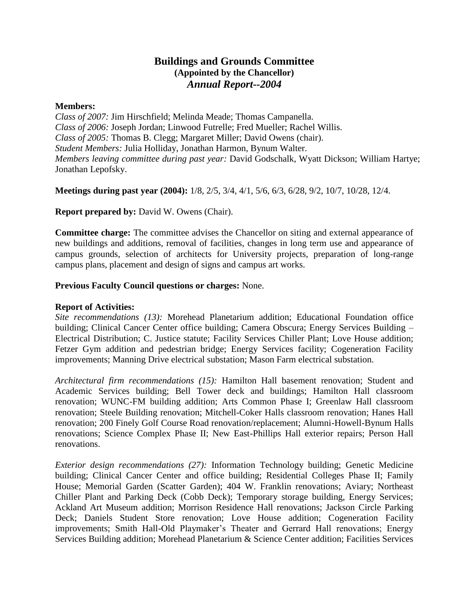## **Buildings and Grounds Committee (Appointed by the Chancellor)** *Annual Report--2004*

## **Members:**

*Class of 2007:* Jim Hirschfield; Melinda Meade; Thomas Campanella. *Class of 2006:* Joseph Jordan; Linwood Futrelle; Fred Mueller; Rachel Willis. *Class of 2005:* Thomas B. Clegg; Margaret Miller; David Owens (chair). *Student Members:* Julia Holliday, Jonathan Harmon, Bynum Walter. *Members leaving committee during past year:* David Godschalk, Wyatt Dickson; William Hartye; Jonathan Lepofsky.

**Meetings during past year (2004):** 1/8, 2/5, 3/4, 4/1, 5/6, 6/3, 6/28, 9/2, 10/7, 10/28, 12/4.

**Report prepared by:** David W. Owens (Chair).

**Committee charge:** The committee advises the Chancellor on siting and external appearance of new buildings and additions, removal of facilities, changes in long term use and appearance of campus grounds, selection of architects for University projects, preparation of long-range campus plans, placement and design of signs and campus art works.

## **Previous Faculty Council questions or charges:** None.

## **Report of Activities:**

*Site recommendations (13):* Morehead Planetarium addition; Educational Foundation office building; Clinical Cancer Center office building; Camera Obscura; Energy Services Building – Electrical Distribution; C. Justice statute; Facility Services Chiller Plant; Love House addition; Fetzer Gym addition and pedestrian bridge; Energy Services facility; Cogeneration Facility improvements; Manning Drive electrical substation; Mason Farm electrical substation.

*Architectural firm recommendations (15):* Hamilton Hall basement renovation; Student and Academic Services building; Bell Tower deck and buildings; Hamilton Hall classroom renovation; WUNC-FM building addition; Arts Common Phase I; Greenlaw Hall classroom renovation; Steele Building renovation; Mitchell-Coker Halls classroom renovation; Hanes Hall renovation; 200 Finely Golf Course Road renovation/replacement; Alumni-Howell-Bynum Halls renovations; Science Complex Phase II; New East-Phillips Hall exterior repairs; Person Hall renovations.

*Exterior design recommendations (27):* Information Technology building; Genetic Medicine building; Clinical Cancer Center and office building; Residential Colleges Phase II; Family House; Memorial Garden (Scatter Garden); 404 W. Franklin renovations; Aviary; Northeast Chiller Plant and Parking Deck (Cobb Deck); Temporary storage building, Energy Services; Ackland Art Museum addition; Morrison Residence Hall renovations; Jackson Circle Parking Deck; Daniels Student Store renovation; Love House addition; Cogeneration Facility improvements; Smith Hall-Old Playmaker's Theater and Gerrard Hall renovations; Energy Services Building addition; Morehead Planetarium & Science Center addition; Facilities Services